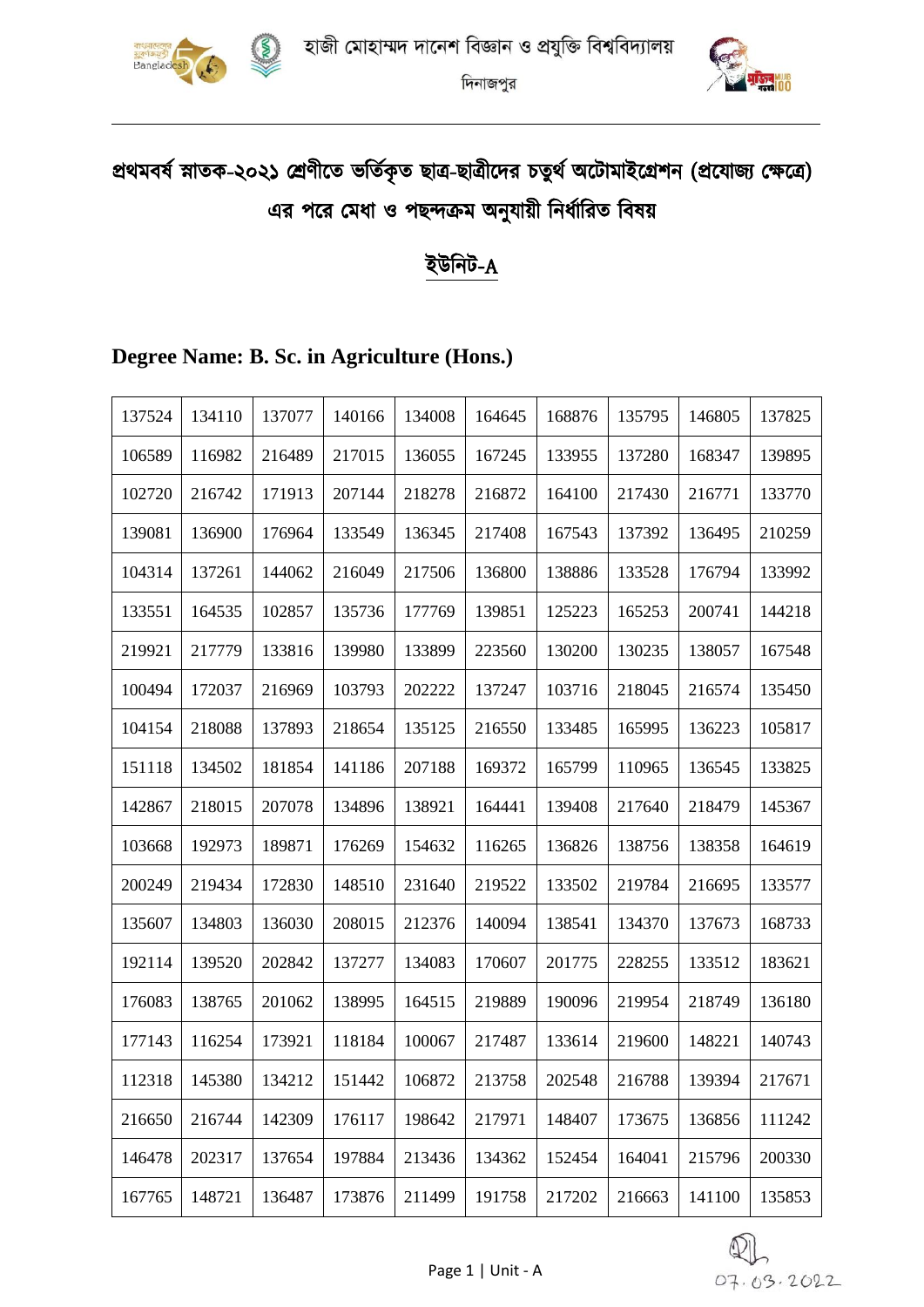



# প্রথমবর্ষ স্নাতক-২০২১ শ্রেণীতে ভর্তিকৃত ছাত্র-ছাত্রীদের চতুর্থ অটোমাইগ্রেশন (প্রযোজ্য ক্ষেত্রে) এর পরে মেধা ও পছন্দক্রম অনুযায়ী নির্ধারিত বিষয়

#### ইউনিট-A

#### **Degree Name: B. Sc. in Agriculture (Hons.)**

| 137524 | 134110 | 137077 | 140166 | 134008 | 164645 | 168876 | 135795 | 146805 | 137825 |
|--------|--------|--------|--------|--------|--------|--------|--------|--------|--------|
| 106589 | 116982 | 216489 | 217015 | 136055 | 167245 | 133955 | 137280 | 168347 | 139895 |
| 102720 | 216742 | 171913 | 207144 | 218278 | 216872 | 164100 | 217430 | 216771 | 133770 |
| 139081 | 136900 | 176964 | 133549 | 136345 | 217408 | 167543 | 137392 | 136495 | 210259 |
| 104314 | 137261 | 144062 | 216049 | 217506 | 136800 | 138886 | 133528 | 176794 | 133992 |
| 133551 | 164535 | 102857 | 135736 | 177769 | 139851 | 125223 | 165253 | 200741 | 144218 |
| 219921 | 217779 | 133816 | 139980 | 133899 | 223560 | 130200 | 130235 | 138057 | 167548 |
| 100494 | 172037 | 216969 | 103793 | 202222 | 137247 | 103716 | 218045 | 216574 | 135450 |
| 104154 | 218088 | 137893 | 218654 | 135125 | 216550 | 133485 | 165995 | 136223 | 105817 |
| 151118 | 134502 | 181854 | 141186 | 207188 | 169372 | 165799 | 110965 | 136545 | 133825 |
| 142867 | 218015 | 207078 | 134896 | 138921 | 164441 | 139408 | 217640 | 218479 | 145367 |
| 103668 | 192973 | 189871 | 176269 | 154632 | 116265 | 136826 | 138756 | 138358 | 164619 |
| 200249 | 219434 | 172830 | 148510 | 231640 | 219522 | 133502 | 219784 | 216695 | 133577 |
| 135607 | 134803 | 136030 | 208015 | 212376 | 140094 | 138541 | 134370 | 137673 | 168733 |
| 192114 | 139520 | 202842 | 137277 | 134083 | 170607 | 201775 | 228255 | 133512 | 183621 |
| 176083 | 138765 | 201062 | 138995 | 164515 | 219889 | 190096 | 219954 | 218749 | 136180 |
| 177143 | 116254 | 173921 | 118184 | 100067 | 217487 | 133614 | 219600 | 148221 | 140743 |
| 112318 | 145380 | 134212 | 151442 | 106872 | 213758 | 202548 | 216788 | 139394 | 217671 |
| 216650 | 216744 | 142309 | 176117 | 198642 | 217971 | 148407 | 173675 | 136856 | 111242 |
| 146478 | 202317 | 137654 | 197884 | 213436 | 134362 | 152454 | 164041 | 215796 | 200330 |
| 167765 | 148721 | 136487 | 173876 | 211499 | 191758 | 217202 | 216663 | 141100 | 135853 |

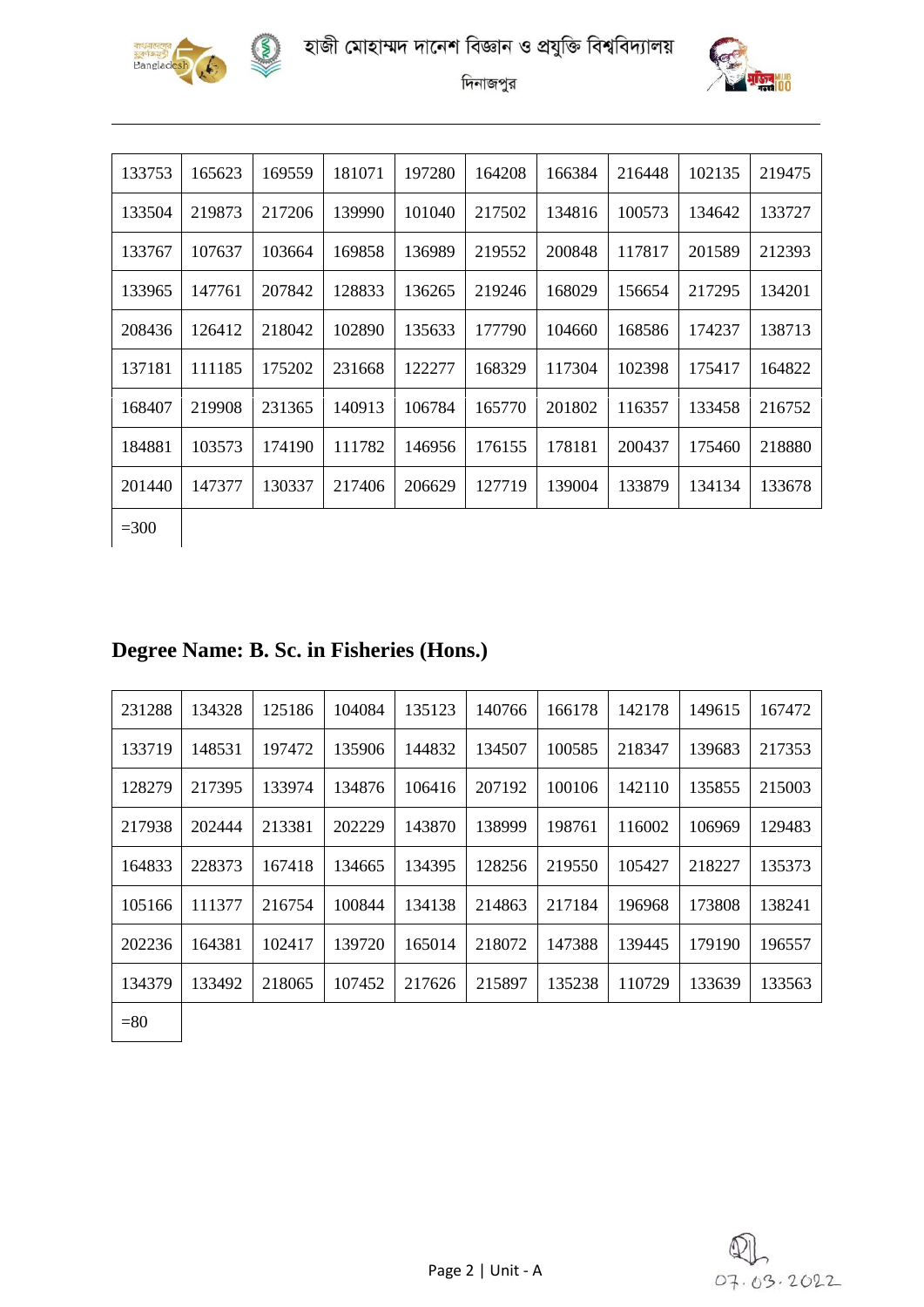





| 133753 | 165623 | 169559 | 181071 | 197280 | 164208 | 166384 | 216448 | 102135 | 219475 |
|--------|--------|--------|--------|--------|--------|--------|--------|--------|--------|
| 133504 | 219873 | 217206 | 139990 | 101040 | 217502 | 134816 | 100573 | 134642 | 133727 |
| 133767 | 107637 | 103664 | 169858 | 136989 | 219552 | 200848 | 117817 | 201589 | 212393 |
| 133965 | 147761 | 207842 | 128833 | 136265 | 219246 | 168029 | 156654 | 217295 | 134201 |
| 208436 | 126412 | 218042 | 102890 | 135633 | 177790 | 104660 | 168586 | 174237 | 138713 |
| 137181 | 111185 | 175202 | 231668 | 122277 | 168329 | 117304 | 102398 | 175417 | 164822 |
| 168407 | 219908 | 231365 | 140913 | 106784 | 165770 | 201802 | 116357 | 133458 | 216752 |
| 184881 | 103573 | 174190 | 111782 | 146956 | 176155 | 178181 | 200437 | 175460 | 218880 |
| 201440 | 147377 | 130337 | 217406 | 206629 | 127719 | 139004 | 133879 | 134134 | 133678 |
| $=300$ |        |        |        |        |        |        |        |        |        |

#### **Degree Name: B. Sc. in Fisheries (Hons.)**

| 231288 | 134328 | 125186 | 104084 | 135123 | 140766 | 166178 | 142178 | 149615 | 167472 |
|--------|--------|--------|--------|--------|--------|--------|--------|--------|--------|
| 133719 | 148531 | 197472 | 135906 | 144832 | 134507 | 100585 | 218347 | 139683 | 217353 |
| 128279 | 217395 | 133974 | 134876 | 106416 | 207192 | 100106 | 142110 | 135855 | 215003 |
| 217938 | 202444 | 213381 | 202229 | 143870 | 138999 | 198761 | 116002 | 106969 | 129483 |
| 164833 | 228373 | 167418 | 134665 | 134395 | 128256 | 219550 | 105427 | 218227 | 135373 |
| 105166 | 111377 | 216754 | 100844 | 134138 | 214863 | 217184 | 196968 | 173808 | 138241 |
| 202236 | 164381 | 102417 | 139720 | 165014 | 218072 | 147388 | 139445 | 179190 | 196557 |
| 134379 | 133492 | 218065 | 107452 | 217626 | 215897 | 135238 | 110729 | 133639 | 133563 |
|        |        |        |        |        |        |        |        |        |        |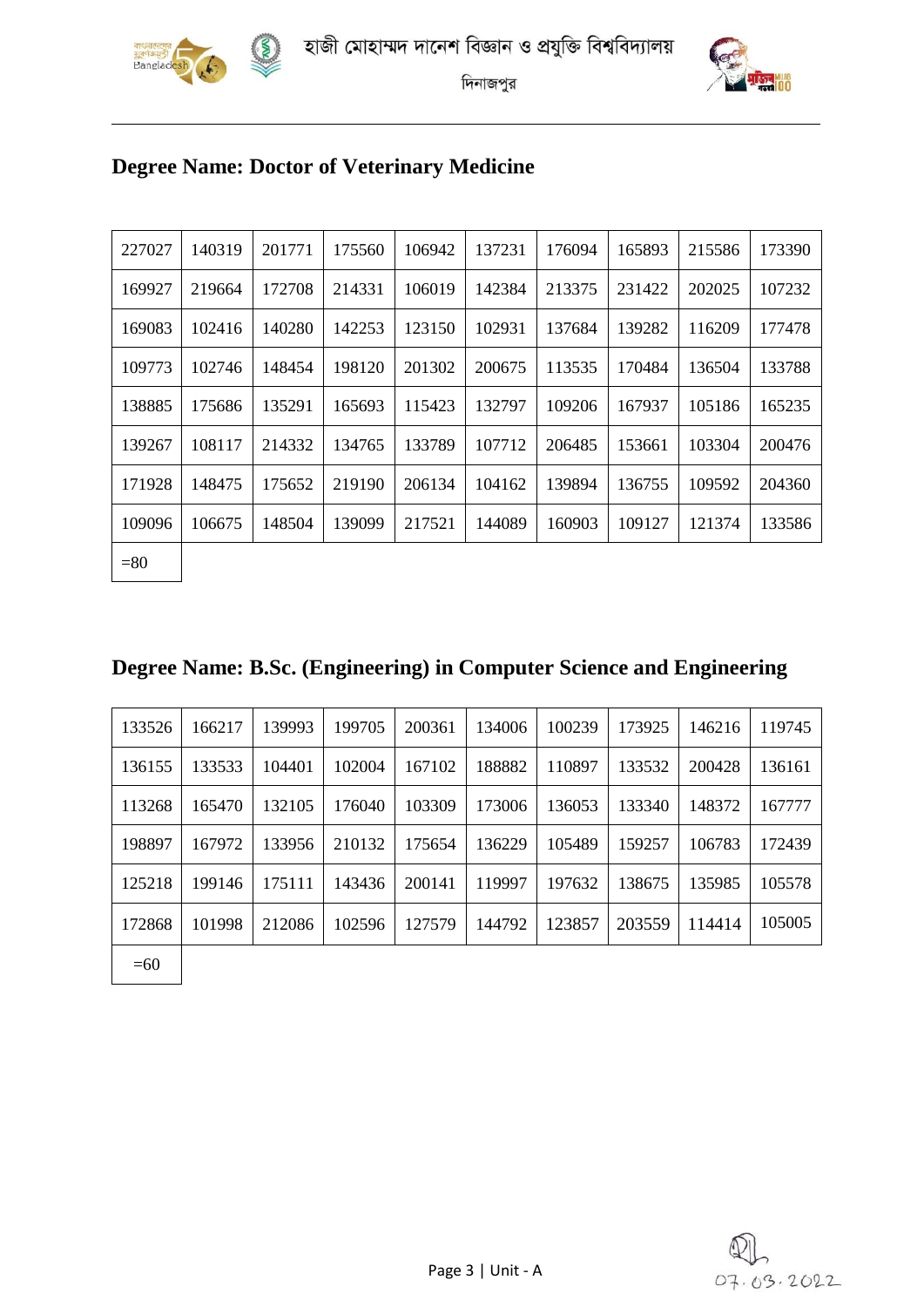



## **Degree Name: Doctor of Veterinary Medicine**

| 227027 | 140319 | 201771 | 175560 | 106942 | 137231 | 176094 | 165893 | 215586 | 173390 |
|--------|--------|--------|--------|--------|--------|--------|--------|--------|--------|
| 169927 | 219664 | 172708 | 214331 | 106019 | 142384 | 213375 | 231422 | 202025 | 107232 |
| 169083 | 102416 | 140280 | 142253 | 123150 | 102931 | 137684 | 139282 | 116209 | 177478 |
| 109773 | 102746 | 148454 | 198120 | 201302 | 200675 | 113535 | 170484 | 136504 | 133788 |
| 138885 | 175686 | 135291 | 165693 | 115423 | 132797 | 109206 | 167937 | 105186 | 165235 |
| 139267 | 108117 | 214332 | 134765 | 133789 | 107712 | 206485 | 153661 | 103304 | 200476 |
| 171928 | 148475 | 175652 | 219190 | 206134 | 104162 | 139894 | 136755 | 109592 | 204360 |
| 109096 | 106675 | 148504 | 139099 | 217521 | 144089 | 160903 | 109127 | 121374 | 133586 |
| $= 80$ |        |        |        |        |        |        |        |        |        |

|  |  |  | Degree Name: B.Sc. (Engineering) in Computer Science and Engineering |  |
|--|--|--|----------------------------------------------------------------------|--|
|  |  |  |                                                                      |  |

| 133526 | 166217 | 139993 | 199705 | 200361 | 134006 | 100239 | 173925 | 146216 | 119745 |
|--------|--------|--------|--------|--------|--------|--------|--------|--------|--------|
| 136155 | 133533 | 104401 | 102004 | 167102 | 188882 | 110897 | 133532 | 200428 | 136161 |
| 113268 | 165470 | 132105 | 176040 | 103309 | 173006 | 136053 | 133340 | 148372 | 167777 |
| 198897 | 167972 | 133956 | 210132 | 175654 | 136229 | 105489 | 159257 | 106783 | 172439 |
| 125218 | 199146 | 175111 | 143436 | 200141 | 119997 | 197632 | 138675 | 135985 | 105578 |
| 172868 | 101998 | 212086 | 102596 | 127579 | 144792 | 123857 | 203559 | 114414 | 105005 |
| $=60$  |        |        |        |        |        |        |        |        |        |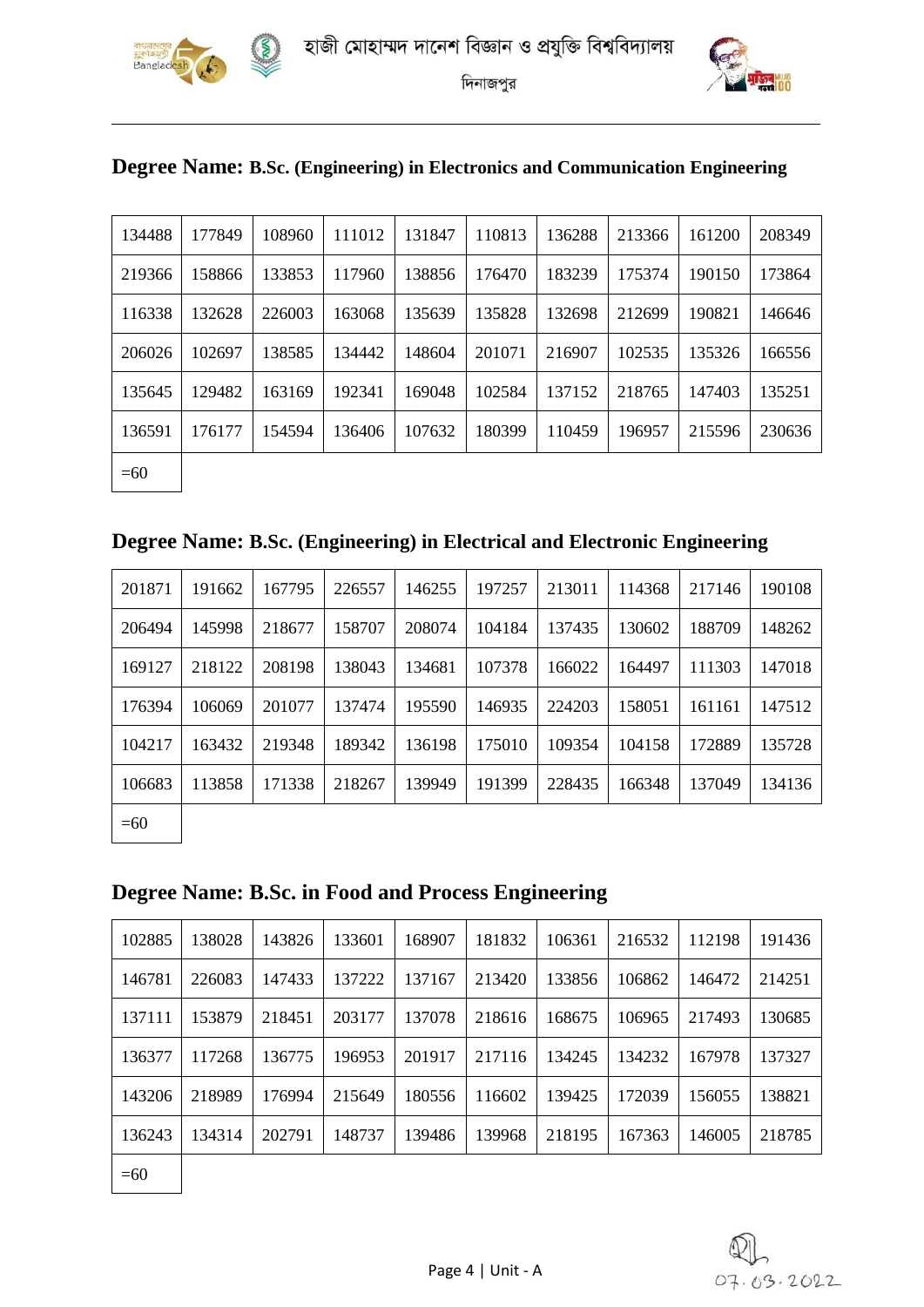

 $\left( \xi \right)$ 

দিনাজপুর



| Degree Name: B.Sc. (Engineering) in Electronics and Communication Engineering |  |  |
|-------------------------------------------------------------------------------|--|--|
|                                                                               |  |  |

| 134488 | 177849 | 108960 | 111012 | 131847 | 110813 | 136288 | 213366 | 161200 | 208349 |
|--------|--------|--------|--------|--------|--------|--------|--------|--------|--------|
| 219366 | 158866 | 133853 | 117960 | 138856 | 176470 | 183239 | 175374 | 190150 | 173864 |
| 116338 | 132628 | 226003 | 163068 | 135639 | 135828 | 132698 | 212699 | 190821 | 146646 |
| 206026 | 102697 | 138585 | 134442 | 148604 | 201071 | 216907 | 102535 | 135326 | 166556 |
| 135645 | 129482 | 163169 | 192341 | 169048 | 102584 | 137152 | 218765 | 147403 | 135251 |
| 136591 | 176177 | 154594 | 136406 | 107632 | 180399 | 110459 | 196957 | 215596 | 230636 |
| $=60$  |        |        |        |        |        |        |        |        |        |

## **Degree Name: B.Sc. (Engineering) in Electrical and Electronic Engineering**

| 201871 | 191662 | 167795 | 226557 | 146255 | 197257 | 213011 | 114368 | 217146 | 190108 |
|--------|--------|--------|--------|--------|--------|--------|--------|--------|--------|
| 206494 | 145998 | 218677 | 158707 | 208074 | 104184 | 137435 | 130602 | 188709 | 148262 |
| 169127 | 218122 | 208198 | 138043 | 134681 | 107378 | 166022 | 164497 | 111303 | 147018 |
| 176394 | 106069 | 201077 | 137474 | 195590 | 146935 | 224203 | 158051 | 161161 | 147512 |
| 104217 | 163432 | 219348 | 189342 | 136198 | 175010 | 109354 | 104158 | 172889 | 135728 |
| 106683 | 113858 | 171338 | 218267 | 139949 | 191399 | 228435 | 166348 | 137049 | 134136 |
|        |        |        |        |        |        |        |        |        |        |

 $=60$ 

#### **Degree Name: B.Sc. in Food and Process Engineering**

| 102885 | 138028 | 143826 | 133601 | 168907 | 181832 | 106361 | 216532 | 112198 | 191436 |
|--------|--------|--------|--------|--------|--------|--------|--------|--------|--------|
| 146781 | 226083 | 147433 | 137222 | 137167 | 213420 | 133856 | 106862 | 146472 | 214251 |
| 137111 | 153879 | 218451 | 203177 | 137078 | 218616 | 168675 | 106965 | 217493 | 130685 |
| 136377 | 117268 | 136775 | 196953 | 201917 | 217116 | 134245 | 134232 | 167978 | 137327 |
| 143206 | 218989 | 176994 | 215649 | 180556 | 116602 | 139425 | 172039 | 156055 | 138821 |
| 136243 | 134314 | 202791 | 148737 | 139486 | 139968 | 218195 | 167363 | 146005 | 218785 |
| $\sim$ |        |        |        |        |        |        |        |        |        |

 $=60$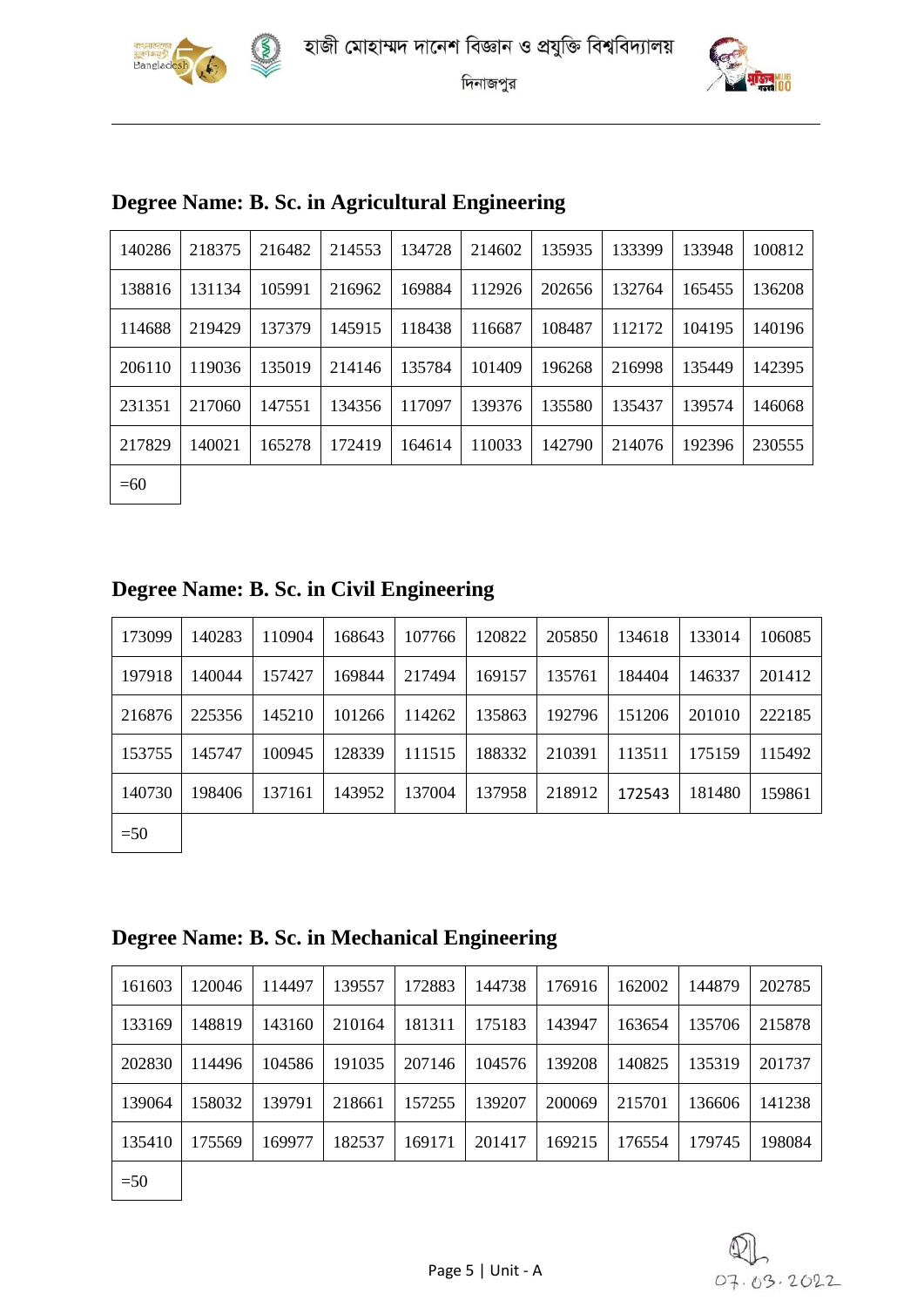





| 140286 | 218375 | 216482 | 214553 | 134728 | 214602 | 135935 | 133399 | 133948 | 100812 |
|--------|--------|--------|--------|--------|--------|--------|--------|--------|--------|
| 138816 | 131134 | 105991 | 216962 | 169884 | 112926 | 202656 | 132764 | 165455 | 136208 |
| 114688 | 219429 | 137379 | 145915 | 118438 | 116687 | 108487 | 112172 | 104195 | 140196 |
| 206110 | 119036 | 135019 | 214146 | 135784 | 101409 | 196268 | 216998 | 135449 | 142395 |
| 231351 | 217060 | 147551 | 134356 | 117097 | 139376 | 135580 | 135437 | 139574 | 146068 |
| 217829 | 140021 | 165278 | 172419 | 164614 | 110033 | 142790 | 214076 | 192396 | 230555 |
| $=60$  |        |        |        |        |        |        |        |        |        |

## **Degree Name: B. Sc. in Agricultural Engineering**

| Degree Name: B. Sc. in Civil Engineering |  |  |  |  |
|------------------------------------------|--|--|--|--|
|                                          |  |  |  |  |

| 173099        | 140283 | 110904 | 168643 | 107766 | 120822 | 205850 | 134618 | 133014 | 106085 |
|---------------|--------|--------|--------|--------|--------|--------|--------|--------|--------|
| 197918        | 140044 | 157427 | 169844 | 217494 | 169157 | 135761 | 184404 | 146337 | 201412 |
| 216876        | 225356 | 145210 | 101266 | 114262 | 135863 | 192796 | 151206 | 201010 | 222185 |
| 153755        | 145747 | 100945 | 128339 | 111515 | 188332 | 210391 | 113511 | 175159 | 115492 |
| 140730        | 198406 | 137161 | 143952 | 137004 | 137958 | 218912 | 172543 | 181480 | 159861 |
| $\sim$ $\sim$ |        |        |        |        |        |        |        |        |        |

 $\vert$  =50

 $\overline{\phantom{a}}$ 

#### **Degree Name: B. Sc. in Mechanical Engineering**

| 161603 | 120046 | 114497 | 139557 | 172883 | 144738 | 176916 | 162002 | 144879 | 202785 |
|--------|--------|--------|--------|--------|--------|--------|--------|--------|--------|
| 133169 | 148819 | 143160 | 210164 | 181311 | 175183 | 143947 | 163654 | 135706 | 215878 |
| 202830 | 114496 | 104586 | 191035 | 207146 | 104576 | 139208 | 140825 | 135319 | 201737 |
| 139064 | 158032 | 139791 | 218661 | 157255 | 139207 | 200069 | 215701 | 136606 | 141238 |
| 135410 | 175569 | 169977 | 182537 | 169171 | 201417 | 169215 | 176554 | 179745 | 198084 |
| $=50$  |        |        |        |        |        |        |        |        |        |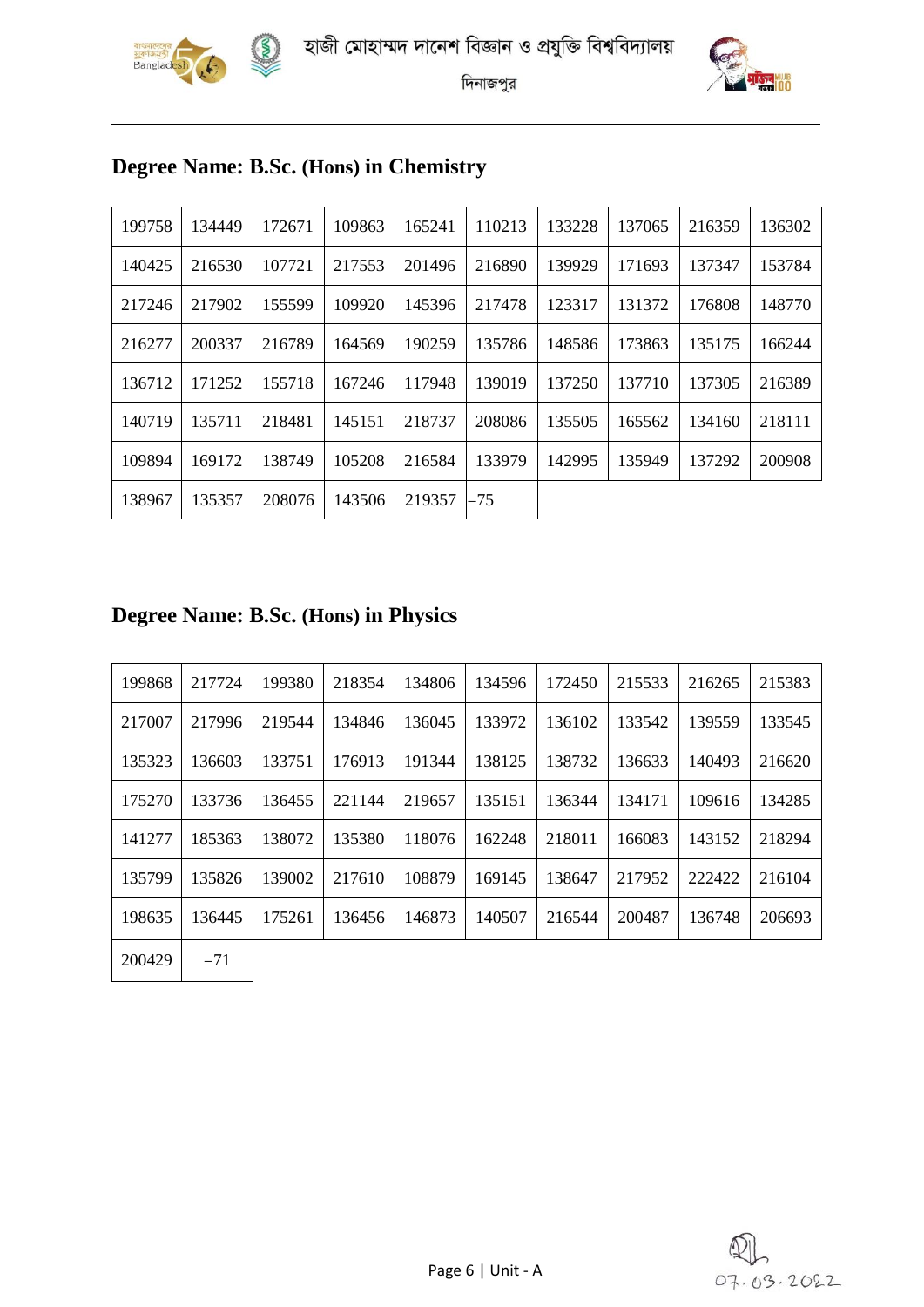



| 199758 | 134449 | 172671 | 109863 | 165241 | 110213 | 133228 | 137065 | 216359 | 136302 |
|--------|--------|--------|--------|--------|--------|--------|--------|--------|--------|
| 140425 | 216530 | 107721 | 217553 | 201496 | 216890 | 139929 | 171693 | 137347 | 153784 |
| 217246 | 217902 | 155599 | 109920 | 145396 | 217478 | 123317 | 131372 | 176808 | 148770 |
| 216277 | 200337 | 216789 | 164569 | 190259 | 135786 | 148586 | 173863 | 135175 | 166244 |
| 136712 | 171252 | 155718 | 167246 | 117948 | 139019 | 137250 | 137710 | 137305 | 216389 |
| 140719 | 135711 | 218481 | 145151 | 218737 | 208086 | 135505 | 165562 | 134160 | 218111 |
| 109894 | 169172 | 138749 | 105208 | 216584 | 133979 | 142995 | 135949 | 137292 | 200908 |
| 138967 | 135357 | 208076 | 143506 | 219357 | $=75$  |        |        |        |        |

## **Degree Name: B.Sc. (Hons) in Chemistry**

## **Degree Name: B.Sc. (Hons) in Physics**

| 199868 | 217724 | 199380 | 218354 | 134806 | 134596 | 172450 | 215533 | 216265 | 215383 |
|--------|--------|--------|--------|--------|--------|--------|--------|--------|--------|
| 217007 | 217996 | 219544 | 134846 | 136045 | 133972 | 136102 | 133542 | 139559 | 133545 |
| 135323 | 136603 | 133751 | 176913 | 191344 | 138125 | 138732 | 136633 | 140493 | 216620 |
| 175270 | 133736 | 136455 | 221144 | 219657 | 135151 | 136344 | 134171 | 109616 | 134285 |
| 141277 | 185363 | 138072 | 135380 | 118076 | 162248 | 218011 | 166083 | 143152 | 218294 |
| 135799 | 135826 | 139002 | 217610 | 108879 | 169145 | 138647 | 217952 | 222422 | 216104 |
| 198635 | 136445 | 175261 | 136456 | 146873 | 140507 | 216544 | 200487 | 136748 | 206693 |
| 200429 | $=71$  |        |        |        |        |        |        |        |        |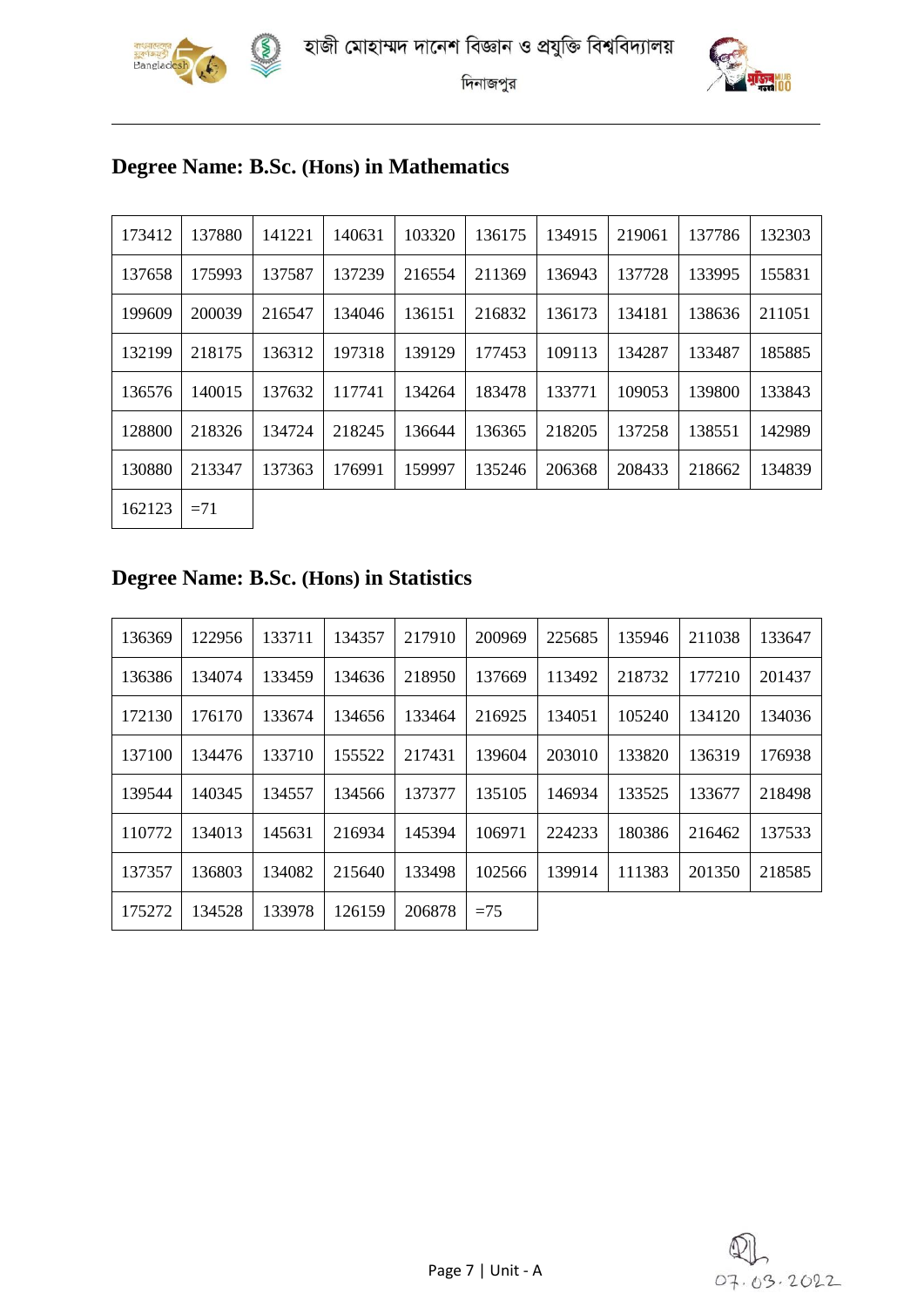





## **Degree Name: B.Sc. (Hons) in Mathematics**

R

| 173412 | 137880 | 141221 | 140631 | 103320 | 136175 | 134915 | 219061 | 137786 | 132303 |
|--------|--------|--------|--------|--------|--------|--------|--------|--------|--------|
| 137658 | 175993 | 137587 | 137239 | 216554 | 211369 | 136943 | 137728 | 133995 | 155831 |
| 199609 | 200039 | 216547 | 134046 | 136151 | 216832 | 136173 | 134181 | 138636 | 211051 |
| 132199 | 218175 | 136312 | 197318 | 139129 | 177453 | 109113 | 134287 | 133487 | 185885 |
| 136576 | 140015 | 137632 | 117741 | 134264 | 183478 | 133771 | 109053 | 139800 | 133843 |
| 128800 | 218326 | 134724 | 218245 | 136644 | 136365 | 218205 | 137258 | 138551 | 142989 |
| 130880 | 213347 | 137363 | 176991 | 159997 | 135246 | 206368 | 208433 | 218662 | 134839 |
| 162123 | $=71$  |        |        |        |        |        |        |        |        |

## **Degree Name: B.Sc. (Hons) in Statistics**

| 136369 | 122956 | 133711 | 134357 | 217910 | 200969 | 225685 | 135946 | 211038 | 133647 |
|--------|--------|--------|--------|--------|--------|--------|--------|--------|--------|
| 136386 | 134074 | 133459 | 134636 | 218950 | 137669 | 113492 | 218732 | 177210 | 201437 |
| 172130 | 176170 | 133674 | 134656 | 133464 | 216925 | 134051 | 105240 | 134120 | 134036 |
| 137100 | 134476 | 133710 | 155522 | 217431 | 139604 | 203010 | 133820 | 136319 | 176938 |
| 139544 | 140345 | 134557 | 134566 | 137377 | 135105 | 146934 | 133525 | 133677 | 218498 |
| 110772 | 134013 | 145631 | 216934 | 145394 | 106971 | 224233 | 180386 | 216462 | 137533 |
| 137357 | 136803 | 134082 | 215640 | 133498 | 102566 | 139914 | 111383 | 201350 | 218585 |
| 175272 | 134528 | 133978 | 126159 | 206878 | $=75$  |        |        |        |        |